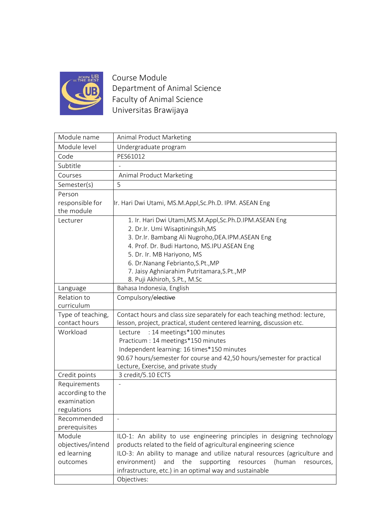

Course Module Department of Animal Science Faculty of Animal Science Universitas Brawijaya

| Module name                        | Animal Product Marketing                                                                                                                             |
|------------------------------------|------------------------------------------------------------------------------------------------------------------------------------------------------|
| Module level                       | Undergraduate program                                                                                                                                |
| Code                               | PES61012                                                                                                                                             |
| Subtitle                           |                                                                                                                                                      |
| Courses                            | Animal Product Marketing                                                                                                                             |
| Semester(s)                        | 5                                                                                                                                                    |
| Person                             |                                                                                                                                                      |
| responsible for                    | Ir. Hari Dwi Utami, MS.M.Appl,Sc.Ph.D. IPM. ASEAN Eng                                                                                                |
| the module                         |                                                                                                                                                      |
| Lecturer                           | 1. Ir. Hari Dwi Utami, MS.M.Appl, Sc.Ph.D.IPM.ASEAN Eng                                                                                              |
|                                    | 2. Dr.Ir. Umi Wisaptiningsih, MS                                                                                                                     |
|                                    | 3. Dr.Ir. Bambang Ali Nugroho, DEA.IPM. ASEAN Eng                                                                                                    |
|                                    | 4. Prof. Dr. Budi Hartono, MS.IPU.ASEAN Eng                                                                                                          |
|                                    | 5. Dr. Ir. MB Hariyono, MS                                                                                                                           |
|                                    | 6. Dr.Nanang Febrianto, S.Pt., MP                                                                                                                    |
|                                    | 7. Jaisy Aghniarahim Putritamara, S.Pt., MP                                                                                                          |
|                                    | 8. Puji Akhiroh, S.Pt., M.Sc                                                                                                                         |
| Language                           | Bahasa Indonesia, English                                                                                                                            |
| Relation to                        | Compulsory/elective                                                                                                                                  |
| curriculum                         |                                                                                                                                                      |
| Type of teaching,<br>contact hours | Contact hours and class size separately for each teaching method: lecture,<br>lesson, project, practical, student centered learning, discussion etc. |
| Workload                           | : 14 meetings*100 minutes<br>Lecture                                                                                                                 |
|                                    | Practicum : 14 meetings*150 minutes                                                                                                                  |
|                                    | Independent learning: 16 times*150 minutes                                                                                                           |
|                                    | 90.67 hours/semester for course and 42,50 hours/semester for practical                                                                               |
|                                    | Lecture, Exercise, and private study                                                                                                                 |
| Credit points                      | 3 credit/5.10 ECTS                                                                                                                                   |
| Requirements                       |                                                                                                                                                      |
| according to the                   |                                                                                                                                                      |
| examination                        |                                                                                                                                                      |
| regulations                        |                                                                                                                                                      |
| Recommended                        |                                                                                                                                                      |
| prerequisites                      |                                                                                                                                                      |
| Module                             | ILO-1: An ability to use engineering principles in designing technology                                                                              |
| objectives/intend                  | products related to the field of agricultural engineering science                                                                                    |
| ed learning                        | ILO-3: An ability to manage and utilize natural resources (agriculture and                                                                           |
| outcomes                           | the<br>supporting<br>(human<br>environment)<br>and<br>resources<br>resources,                                                                        |
|                                    | infrastructure, etc.) in an optimal way and sustainable                                                                                              |
|                                    | Objectives:                                                                                                                                          |